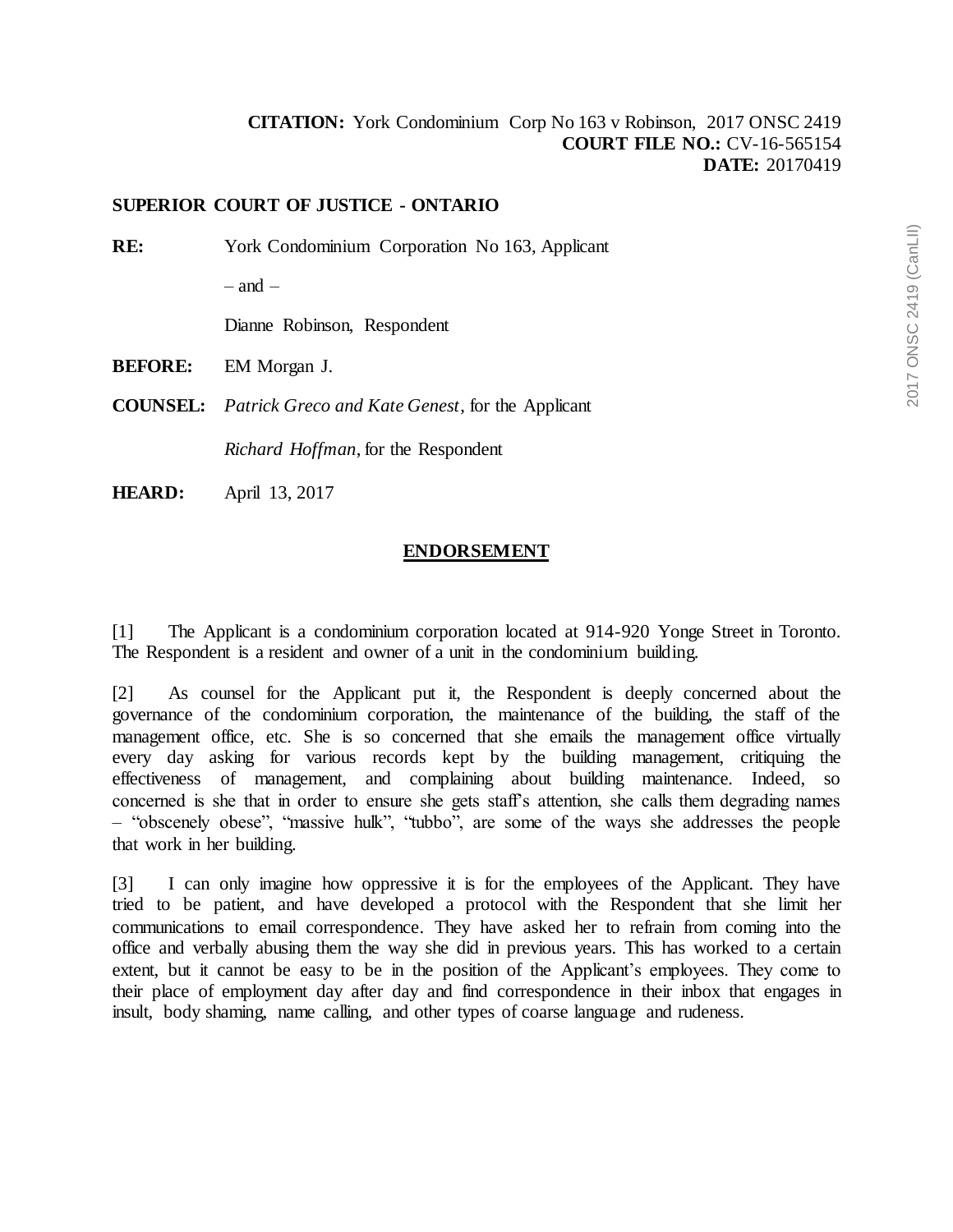## **SUPERIOR COURT OF JUSTICE - ONTARIO**

**RE:** York Condominium Corporation No 163, Applicant

 $-$  and  $-$ 

Dianne Robinson, Respondent

**BEFORE:** EM Morgan J.

**COUNSEL:** *Patrick Greco and Kate Genest*, for the Applicant

*Richard Hoffman*, for the Respondent

**HEARD:** April 13, 2017

## **ENDORSEMENT**

[1] The Applicant is a condominium corporation located at 914-920 Yonge Street in Toronto. The Respondent is a resident and owner of a unit in the condominium building.

[2] As counsel for the Applicant put it, the Respondent is deeply concerned about the governance of the condominium corporation, the maintenance of the building, the staff of the management office, etc. She is so concerned that she emails the management office virtually every day asking for various records kept by the building management, critiquing the effectiveness of management, and complaining about building maintenance. Indeed, so concerned is she that in order to ensure she gets staff's attention, she calls them degrading names – "obscenely obese", "massive hulk", "tubbo", are some of the ways she addresses the people that work in her building.

[3] I can only imagine how oppressive it is for the employees of the Applicant. They have tried to be patient, and have developed a protocol with the Respondent that she limit her communications to email correspondence. They have asked her to refrain from coming into the office and verbally abusing them the way she did in previous years. This has worked to a certain extent, but it cannot be easy to be in the position of the Applicant's employees. They come to their place of employment day after day and find correspondence in their inbox that engages in insult, body shaming, name calling, and other types of coarse language and rudeness.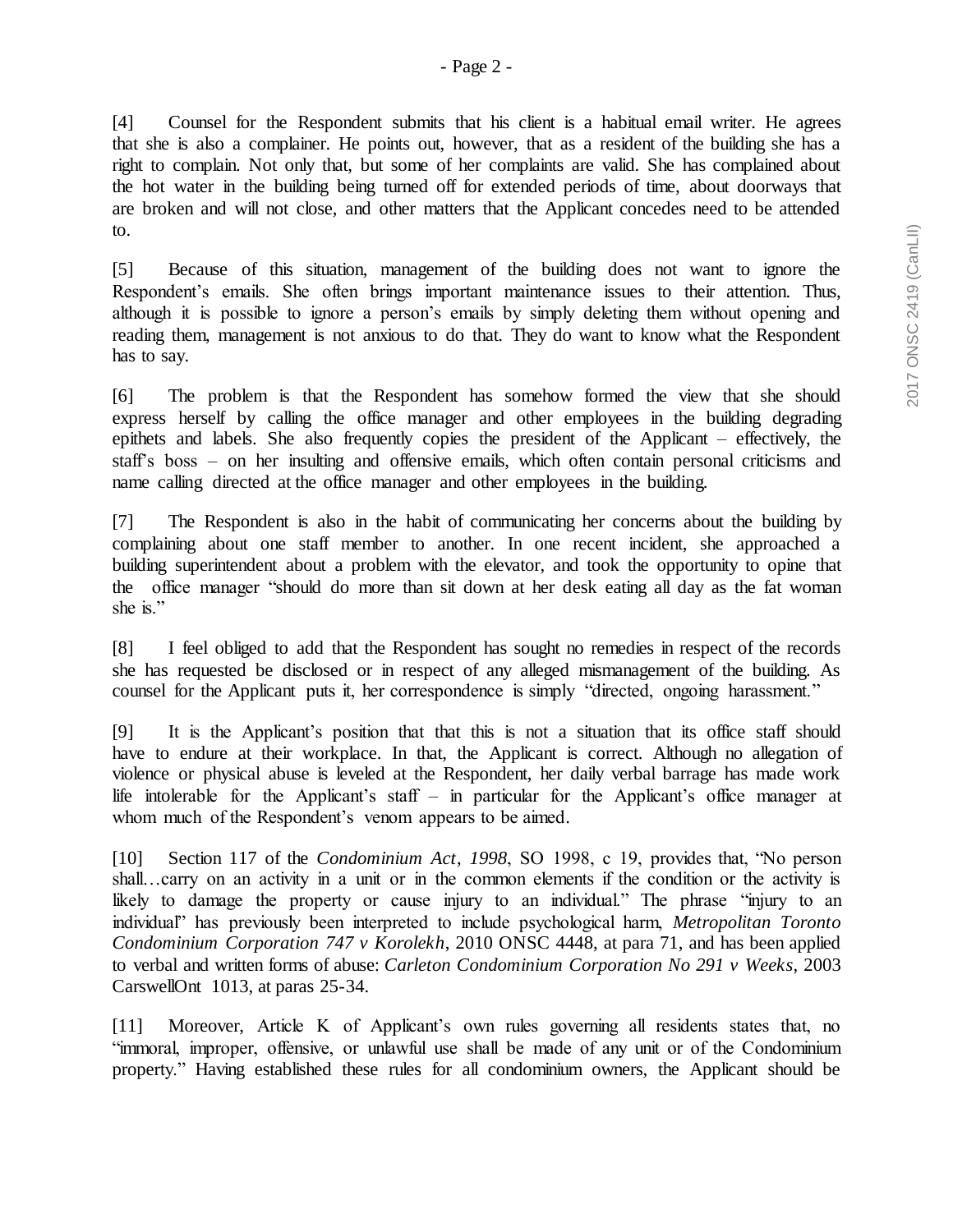[4] Counsel for the Respondent submits that his client is a habitual email writer. He agrees that she is also a complainer. He points out, however, that as a resident of the building she has a right to complain. Not only that, but some of her complaints are valid. She has complained about the hot water in the building being turned off for extended periods of time, about doorways that are broken and will not close, and other matters that the Applicant concedes need to be attended to.

[5] Because of this situation, management of the building does not want to ignore the Respondent's emails. She often brings important maintenance issues to their attention. Thus, although it is possible to ignore a person's emails by simply deleting them without opening and reading them, management is not anxious to do that. They do want to know what the Respondent has to say.

[6] The problem is that the Respondent has somehow formed the view that she should express herself by calling the office manager and other employees in the building degrading epithets and labels. She also frequently copies the president of the Applicant – effectively, the staff's boss – on her insulting and offensive emails, which often contain personal criticisms and name calling directed at the office manager and other employees in the building.

[7] The Respondent is also in the habit of communicating her concerns about the building by complaining about one staff member to another. In one recent incident, she approached a building superintendent about a problem with the elevator, and took the opportunity to opine that the office manager "should do more than sit down at her desk eating all day as the fat woman she is."

[8] I feel obliged to add that the Respondent has sought no remedies in respect of the records she has requested be disclosed or in respect of any alleged mismanagement of the building. As counsel for the Applicant puts it, her correspondence is simply "directed, ongoing harassment."

[9] It is the Applicant's position that that this is not a situation that its office staff should have to endure at their workplace. In that, the Applicant is correct. Although no allegation of violence or physical abuse is leveled at the Respondent, her daily verbal barrage has made work life intolerable for the Applicant's staff – in particular for the Applicant's office manager at whom much of the Respondent's venom appears to be aimed.

[10] Section 117 of the *Condominium Act*, *1998*, SO 1998, c 19, provides that, "No person shall…carry on an activity in a unit or in the common elements if the condition or the activity is likely to damage the property or cause injury to an individual." The phrase "injury to an individual" has previously been interpreted to include psychological harm, *Metropolitan Toronto Condominium Corporation 747 v Korolekh*, 2010 ONSC 4448, at para 71, and has been applied to verbal and written forms of abuse: *Carleton Condominium Corporation No 291 v Weeks*, 2003 CarswellOnt 1013, at paras 25-34.

[11] Moreover, Article K of Applicant's own rules governing all residents states that, no "immoral, improper, offensive, or unlawful use shall be made of any unit or of the Condominium property." Having established these rules for all condominium owners, the Applicant should be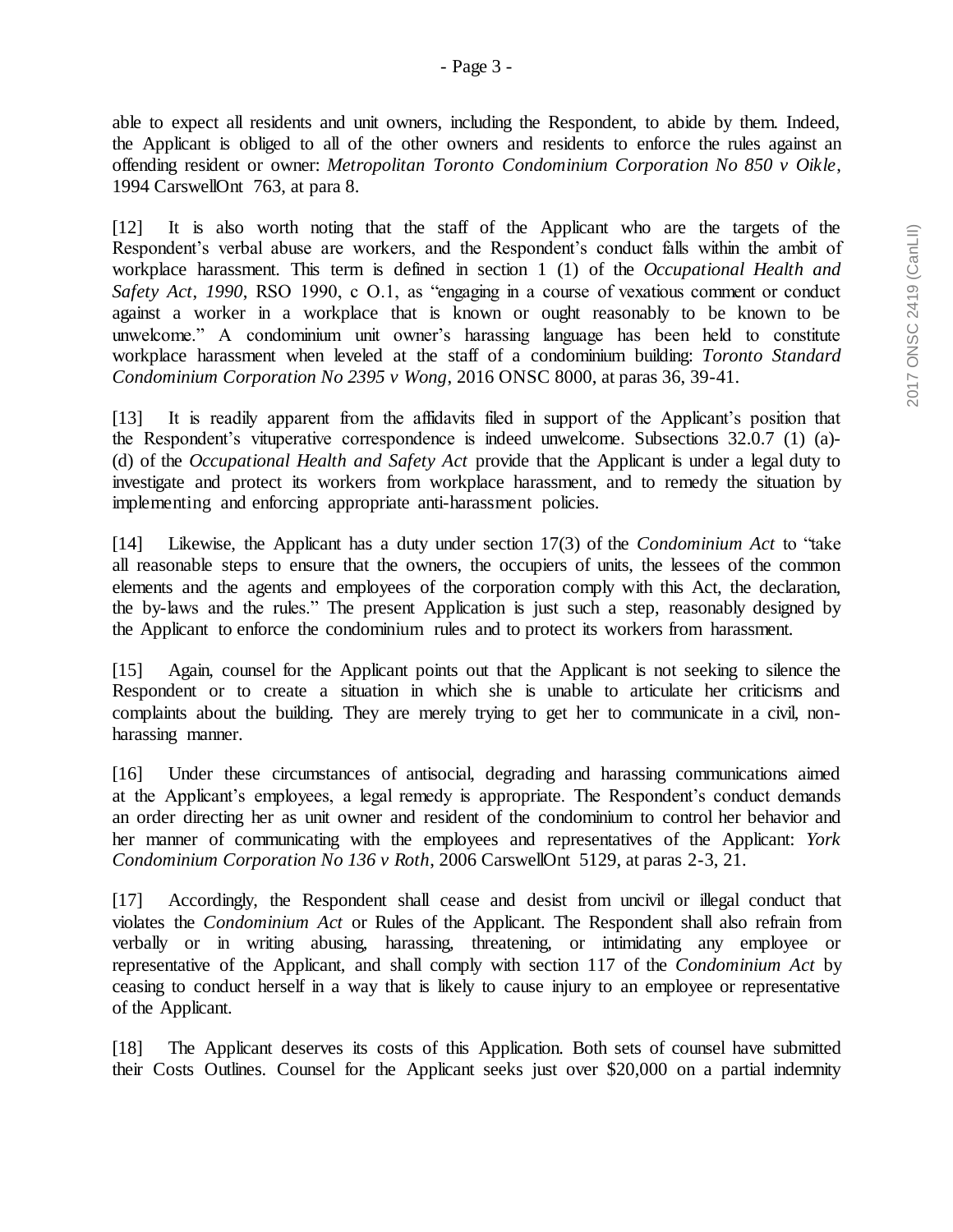able to expect all residents and unit owners, including the Respondent, to abide by them. Indeed, the Applicant is obliged to all of the other owners and residents to enforce the rules against an offending resident or owner: *Metropolitan Toronto Condominium Corporation No 850 v Oikle*, 1994 CarswellOnt 763, at para 8.

[12] It is also worth noting that the staff of the Applicant who are the targets of the Respondent's verbal abuse are workers, and the Respondent's conduct falls within the ambit of workplace harassment. This term is defined in section 1 (1) of the *Occupational Health and Safety Act*, *1990*, RSO 1990, c O.1, as "engaging in a course of vexatious comment or conduct against a worker in a workplace that is known or ought reasonably to be known to be unwelcome." A condominium unit owner's harassing language has been held to constitute workplace harassment when leveled at the staff of a condominium building: *Toronto Standard Condominium Corporation No 2395 v Wong*, 2016 ONSC 8000, at paras 36, 39-41.

[13] It is readily apparent from the affidavits filed in support of the Applicant's position that the Respondent's vituperative correspondence is indeed unwelcome. Subsections 32.0.7 (1) (a)- (d) of the *Occupational Health and Safety Act* provide that the Applicant is under a legal duty to investigate and protect its workers from workplace harassment, and to remedy the situation by implementing and enforcing appropriate anti-harassment policies.

[14] Likewise, the Applicant has a duty under section 17(3) of the *Condominium Act* to "take all reasonable steps to ensure that the owners, the occupiers of units, the lessees of the common elements and the agents and employees of the corporation comply with this Act, the declaration, the by-laws and the rules." The present Application is just such a step, reasonably designed by the Applicant to enforce the condominium rules and to protect its workers from harassment.

[15] Again, counsel for the Applicant points out that the Applicant is not seeking to silence the Respondent or to create a situation in which she is unable to articulate her criticisms and complaints about the building. They are merely trying to get her to communicate in a civil, nonharassing manner.

[16] Under these circumstances of antisocial, degrading and harassing communications aimed at the Applicant's employees, a legal remedy is appropriate. The Respondent's conduct demands an order directing her as unit owner and resident of the condominium to control her behavior and her manner of communicating with the employees and representatives of the Applicant: *York Condominium Corporation No 136 v Roth*, 2006 CarswellOnt 5129, at paras 2-3, 21.

[17] Accordingly, the Respondent shall cease and desist from uncivil or illegal conduct that violates the *Condominium Act* or Rules of the Applicant. The Respondent shall also refrain from verbally or in writing abusing, harassing, threatening, or intimidating any employee or representative of the Applicant, and shall comply with section 117 of the *Condominium Act* by ceasing to conduct herself in a way that is likely to cause injury to an employee or representative of the Applicant.

[18] The Applicant deserves its costs of this Application. Both sets of counsel have submitted their Costs Outlines. Counsel for the Applicant seeks just over \$20,000 on a partial indemnity